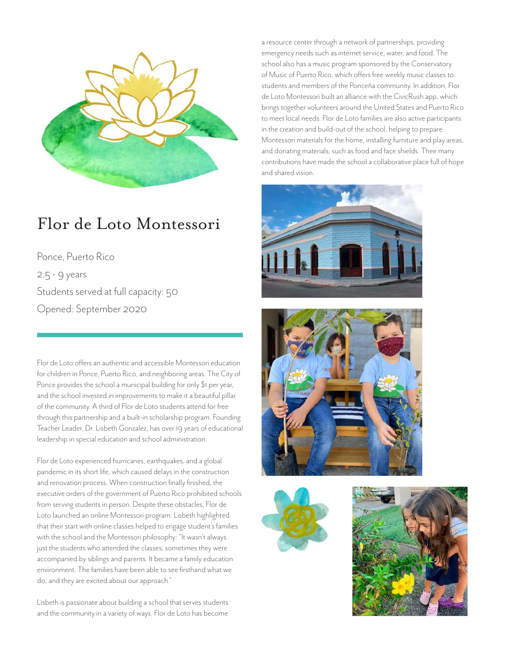

## Flor de Loto Montessori

Ponce, Puerto Rico 2.5 - 9 years Students served at full capacity: 50 Opened: September 2020

Flor de Loto offers an authentic and accessible Montessori education for children in Ponce, Puerto Rico, and neighboring areas. The City of Ponce provides the school a municipal building for only \$1 per year, and the school invested in improvements to make it a beautiful pillar of the community. A third of Flor de Loto students attend for free through this partnership and a built-in scholarship program. Founding Teacher Leader, Dr. Lisbeth Gonzalez, has over 19 years of educational leadership in special education and school administration.

Flor de Loto experienced hurricanes, earthquakes, and a global pandemic in its short life, which caused delays in the construction and renovation process. When construction finally finished, the executive orders of the government of Puerto Rico prohibited schools from serving students in person. Despite these obstacles, Flor de Loto launched an online Montessori program. Lisbeth highlighted that their start with online classes helped to engage student's families with the school and the Montessori philosophy: "It wasn't always just the students who attended the classes; sometimes they were accompanied by siblings and parents. It became a family education environment. The families have been able to see firsthand what we do, and they are excited about our approach."

Lisbeth is passionate about building a school that serves students and the community in a variety of ways. Flor de Loto has become

a resource center through a network of partnerships, providing emergency needs such as internet service, water, and food. The school also has a music program sponsored by the Conservatory of Music of Puerto Rico, which offers free weekly music classes to students and members of the Ponceña community. In addition, Flor de Loto Montessori built an alliance with the CivicRush app, which brings together volunteers around the United States and Puerto Rico to meet local needs. Flor de Loto families are also active participants in the creation and build-out of the school, helping to prepare Montessori materials for the home, installing furniture and play areas, and donating materials, such as food and face shields. Their many contributions have made the school a collaborative place full of hope and shared vision.